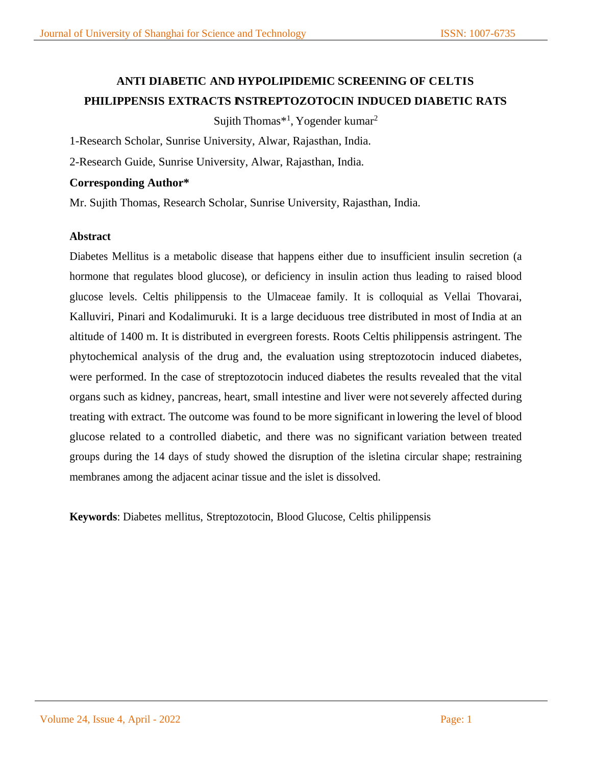## **ANTI DIABETIC AND HYPOLIPIDEMIC SCREENING OF CELTIS PHILIPPENSIS EXTRACTS I NSTREPTOZOTOCIN INDUCED DIABETIC RATS**

Sujith Thomas\*<sup>1</sup>, Yogender kumar<sup>2</sup>

1-Research Scholar, Sunrise University, Alwar, Rajasthan, India.

2-Research Guide, Sunrise University, Alwar, Rajasthan, India.

### **Corresponding Author\***

Mr. Sujith Thomas, Research Scholar, Sunrise University, Rajasthan, India.

### **Abstract**

Diabetes Mellitus is a metabolic disease that happens either due to insufficient insulin secretion (a hormone that regulates blood glucose), or deficiency in insulin action thus leading to raised blood glucose levels. Celtis philippensis to the Ulmaceae family. It is colloquial as Vellai Thovarai, Kalluviri, Pinari and Kodalimuruki. It is a large deciduous tree distributed in most of India at an altitude of 1400 m. It is distributed in evergreen forests. Roots Celtis philippensis astringent. The phytochemical analysis of the drug and, the evaluation using streptozotocin induced diabetes, were performed. In the case of streptozotocin induced diabetes the results revealed that the vital organs such as kidney, pancreas, heart, small intestine and liver were notseverely affected during treating with extract. The outcome was found to be more significant in lowering the level of blood glucose related to a controlled diabetic, and there was no significant variation between treated groups during the 14 days of study showed the disruption of the isletina circular shape; restraining membranes among the adjacent acinar tissue and the islet is dissolved.

**Keywords**: Diabetes mellitus, Streptozotocin, Blood Glucose, Celtis philippensis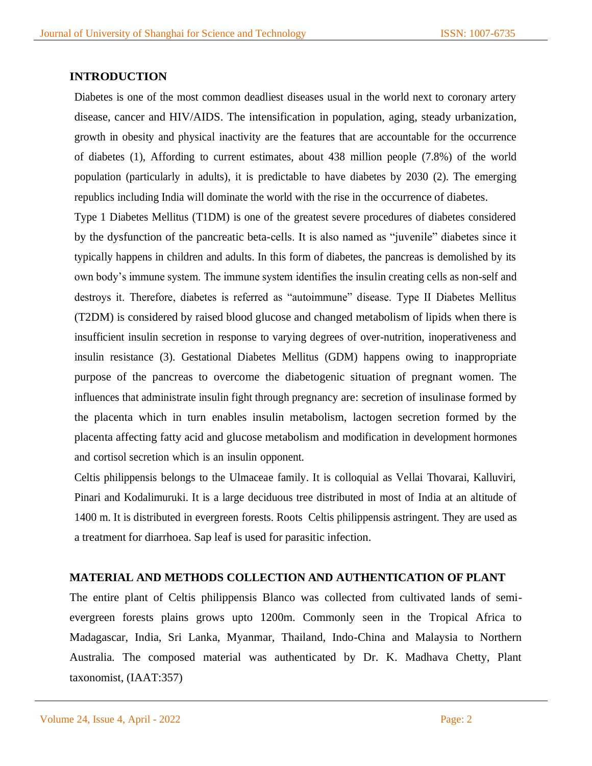## **INTRODUCTION**

Diabetes is one of the most common deadliest diseases usual in the world next to coronary artery disease, cancer and HIV/AIDS. The intensification in population, aging, steady urbanization, growth in obesity and physical inactivity are the features that are accountable for the occurrence of diabetes (1), Affording to current estimates, about 438 million people (7.8%) of the world population (particularly in adults), it is predictable to have diabetes by 2030 (2). The emerging republics including India will dominate the world with the rise in the occurrence of diabetes.

Type 1 Diabetes Mellitus (T1DM) is one of the greatest severe procedures of diabetes considered by the dysfunction of the pancreatic beta-cells. It is also named as "juvenile" diabetes since it typically happens in children and adults. In this form of diabetes, the pancreas is demolished by its own body's immune system. The immune system identifies the insulin creating cells as non-self and destroys it. Therefore, diabetes is referred as "autoimmune" disease. Type II Diabetes Mellitus (T2DM) is considered by raised blood glucose and changed metabolism of lipids when there is insufficient insulin secretion in response to varying degrees of over-nutrition, inoperativeness and insulin resistance (3). Gestational Diabetes Mellitus (GDM) happens owing to inappropriate purpose of the pancreas to overcome the diabetogenic situation of pregnant women. The influences that administrate insulin fight through pregnancy are: secretion of insulinase formed by the placenta which in turn enables insulin metabolism, lactogen secretion formed by the placenta affecting fatty acid and glucose metabolism and modification in development hormones and cortisol secretion which is an insulin opponent.

Celtis philippensis belongs to the Ulmaceae family. It is colloquial as Vellai Thovarai, Kalluviri, Pinari and Kodalimuruki. It is a large deciduous tree distributed in most of India at an altitude of 1400 m. It is distributed in evergreen forests. Roots Celtis philippensis astringent. They are used as a treatment for diarrhoea. Sap leaf is used for parasitic infection.

### **MATERIAL AND METHODS COLLECTION AND AUTHENTICATION OF PLANT**

The entire plant of Celtis philippensis Blanco was collected from cultivated lands of semievergreen forests plains grows upto 1200m. Commonly seen in the Tropical Africa to Madagascar, India, Sri Lanka, Myanmar, Thailand, Indo-China and Malaysia to Northern Australia. The composed material was authenticated by Dr. K. Madhava Chetty, Plant taxonomist, (IAAT:357)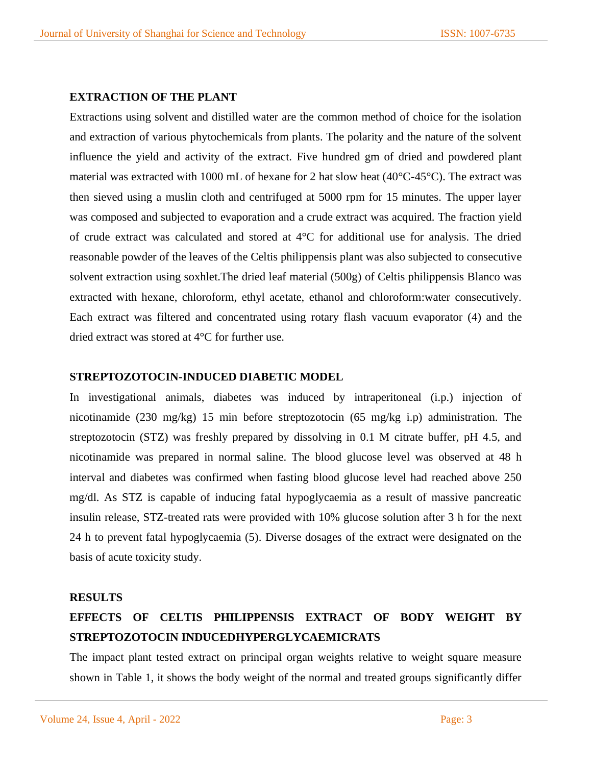### **EXTRACTION OF THE PLANT**

Extractions using solvent and distilled water are the common method of choice for the isolation and extraction of various phytochemicals from plants. The polarity and the nature of the solvent influence the yield and activity of the extract. Five hundred gm of dried and powdered plant material was extracted with 1000 mL of hexane for 2 hat slow heat (40°C-45°C). The extract was then sieved using a muslin cloth and centrifuged at 5000 rpm for 15 minutes. The upper layer was composed and subjected to evaporation and a crude extract was acquired. The fraction yield of crude extract was calculated and stored at 4°C for additional use for analysis. The dried reasonable powder of the leaves of the Celtis philippensis plant was also subjected to consecutive solvent extraction using soxhlet.The dried leaf material (500g) of Celtis philippensis Blanco was extracted with hexane, chloroform, ethyl acetate, ethanol and chloroform:water consecutively. Each extract was filtered and concentrated using rotary flash vacuum evaporator (4) and the dried extract was stored at 4°C for further use.

### **STREPTOZOTOCIN-INDUCED DIABETIC MODEL**

In investigational animals, diabetes was induced by intraperitoneal (i.p.) injection of nicotinamide (230 mg/kg) 15 min before streptozotocin (65 mg/kg i.p) administration. The streptozotocin (STZ) was freshly prepared by dissolving in 0.1 M citrate buffer, pH 4.5, and nicotinamide was prepared in normal saline. The blood glucose level was observed at 48 h interval and diabetes was confirmed when fasting blood glucose level had reached above 250 mg/dl. As STZ is capable of inducing fatal hypoglycaemia as a result of massive pancreatic insulin release, STZ-treated rats were provided with 10% glucose solution after 3 h for the next 24 h to prevent fatal hypoglycaemia (5). Diverse dosages of the extract were designated on the basis of acute toxicity study.

### **RESULTS**

## **EFFECTS OF CELTIS PHILIPPENSIS EXTRACT OF BODY WEIGHT BY STREPTOZOTOCIN INDUCEDHYPERGLYCAEMICRATS**

The impact plant tested extract on principal organ weights relative to weight square measure shown in Table 1, it shows the body weight of the normal and treated groups significantly differ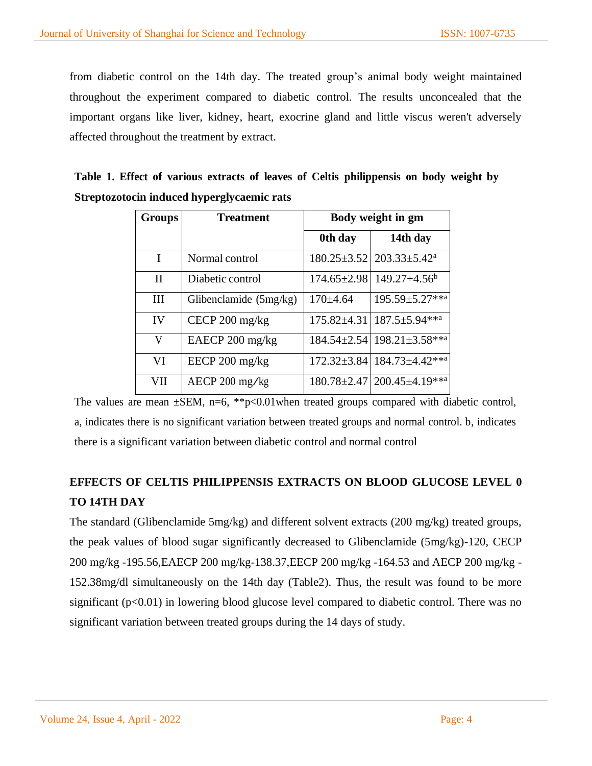from diabetic control on the 14th day. The treated group's animal body weight maintained throughout the experiment compared to diabetic control. The results unconcealed that the important organs like liver, kidney, heart, exocrine gland and little viscus weren't adversely affected throughout the treatment by extract.

|  |                                            |  | Table 1. Effect of various extracts of leaves of Celtis philippensis on body weight by |  |  |
|--|--------------------------------------------|--|----------------------------------------------------------------------------------------|--|--|
|  | Streptozotocin induced hyperglycaemic rats |  |                                                                                        |  |  |

| <b>Groups</b> | <b>Treatment</b>                       | Body weight in gm |                                          |  |  |
|---------------|----------------------------------------|-------------------|------------------------------------------|--|--|
|               |                                        | 0th day           | 14th day                                 |  |  |
| I             | Normal control                         | $180.25 \pm 3.52$ | $203.33 \pm 5.42^{\circ}$                |  |  |
| $\mathbf{I}$  | Diabetic control                       | $174.65 \pm 2.98$ | $149.27 + 4.56^b$                        |  |  |
| Ш             | Glibenclamide (5mg/kg)                 | $170+4.64$        | 195.59±5.27**a                           |  |  |
| IV            | CECP $200 \frac{\text{mg}}{\text{kg}}$ | $175.82 \pm 4.31$ | $187.5 \pm 5.94$ ***                     |  |  |
| V             | EAECP $200 \text{ mg/kg}$              |                   | $184.54 \pm 2.54$ 198.21 $\pm 3.58$ **a  |  |  |
| VI            | EECP $200 \text{ mg/kg}$               |                   | 172.32±3.84   184.73±4.42** <sup>a</sup> |  |  |
| VII           | AECP 200 mg/kg                         |                   | $180.78 \pm 2.47$ 200.45 $\pm 4.19$ **a  |  |  |

The values are mean  $\pm$ SEM, n=6, \*\*p<0.01when treated groups compared with diabetic control, a, indicates there is no significant variation between treated groups and normal control. b, indicates there is a significant variation between diabetic control and normal control

## **EFFECTS OF CELTIS PHILIPPENSIS EXTRACTS ON BLOOD GLUCOSE LEVEL 0 TO 14TH DAY**

The standard (Glibenclamide 5mg/kg) and different solvent extracts (200 mg/kg) treated groups, the peak values of blood sugar significantly decreased to Glibenclamide (5mg/kg)-120, CECP 200 mg/kg -195.56,EAECP 200 mg/kg-138.37,EECP 200 mg/kg -164.53 and AECP 200 mg/kg - 152.38mg/dl simultaneously on the 14th day (Table2). Thus, the result was found to be more significant  $(p<0.01)$  in lowering blood glucose level compared to diabetic control. There was no significant variation between treated groups during the 14 days of study.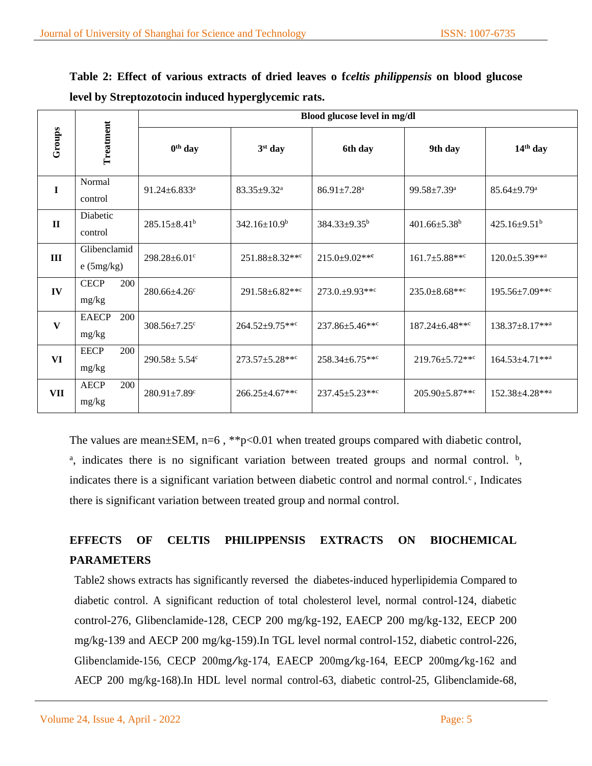|  |                                                     |  |  | Table 2: Effect of various extracts of dried leaves o <i>fceltis philippensis</i> on blood glucose |  |  |
|--|-----------------------------------------------------|--|--|----------------------------------------------------------------------------------------------------|--|--|
|  | level by Streptozotocin induced hyperglycemic rats. |  |  |                                                                                                    |  |  |

|              |                                    | Blood glucose level in mg/dl   |                                   |                                   |                                  |                                   |  |  |  |
|--------------|------------------------------------|--------------------------------|-----------------------------------|-----------------------------------|----------------------------------|-----------------------------------|--|--|--|
| Groups       | Treatment                          | $0th$ day                      | 3 <sup>st</sup> day               | 6th day                           | 9th day                          | $14th$ day                        |  |  |  |
| $\mathbf I$  | Normal<br>control                  | $91.24 \pm 6.833$ <sup>a</sup> | $83.35 \pm 9.32^a$                | $86.91 \pm 7.28$ <sup>a</sup>     | $99.58 \pm 7.39^{\text{a}}$      | $85.64 \pm 9.79$ <sup>a</sup>     |  |  |  |
| $\mathbf{I}$ | Diabetic<br>control                | $285.15 \pm 8.41^b$            | 342.16±10.9 <sup>b</sup>          | 384.33±9.35 <sup>b</sup>          | $401.66 \pm 5.38$ <sup>b</sup>   | 425.16 $\pm$ 9.51 <sup>b</sup>    |  |  |  |
| III          | Glibenclamid<br>e(5mg/kg)          | 298.28±6.01°                   | $251.88 \pm 8.32$ ***             | $215.0 \pm 9.02$ **               | $161.7 \pm 5.88$ ***             | $120.0 \pm 5.39$ **a              |  |  |  |
| IV           | <b>CECP</b><br>200<br>mg/kg        | $280.66 \pm 4.26$ c            | $291.58 \pm 6.82$ ** <sup>c</sup> | $273.0.+9.93***$                  | $235.0 \pm 8.68$ ** <sup>c</sup> | $195.56 \pm 7.09$ ** <sup>c</sup> |  |  |  |
| $\mathbf{V}$ | 200<br><b>EAECP</b><br>mg/kg       | $308.56 \pm 7.25$ c            | 264.52±9.75***                    | 237.86±5.46***                    | 187.24±6.48***                   | 138.37±8.17**a                    |  |  |  |
| VI           | <b>EECP</b><br><b>200</b><br>mg/kg | $290.58 \pm 5.54$ c            | $273.57 \pm 5.28$ ***             | $258.34 \pm 6.75$ ** <sup>c</sup> | $219.76 \pm 5.72$ ***            | $164.53 \pm 4.71$ ***             |  |  |  |
| VII          | <b>AECP</b><br>200<br>mg/kg        | $280.91 \pm 7.89$ <sup>c</sup> | 266.25±4.67***                    | $237.45 \pm 5.23$ ** <sup>c</sup> | $205.90 \pm 5.87$ ***            | 152.38±4.28** <sup>a</sup>        |  |  |  |

The values are mean $\pm$ SEM, n=6, \*\*p<0.01 when treated groups compared with diabetic control,

<sup>a</sup>, indicates there is no significant variation between treated groups and normal control.  $\frac{b}{c}$ , indicates there is a significant variation between diabetic control and normal control. $\text{c}$ , Indicates there is significant variation between treated group and normal control.

# **EFFECTS OF CELTIS PHILIPPENSIS EXTRACTS ON BIOCHEMICAL PARAMETERS**

Table2 shows extracts has significantly reversed the diabetes-induced hyperlipidemia Compared to diabetic control. A significant reduction of total cholesterol level, normal control-124, diabetic control-276, Glibenclamide-128, CECP 200 mg/kg-192, EAECP 200 mg/kg-132, EECP 200 mg/kg-139 and AECP 200 mg/kg-159).In TGL level normal control-152, diabetic control-226, Glibenclamide-156, CECP 200mg/kg-174, EAECP 200mg/kg-164, EECP 200mg/kg-162 and AECP 200 mg/kg-168).In HDL level normal control-63, diabetic control-25, Glibenclamide-68,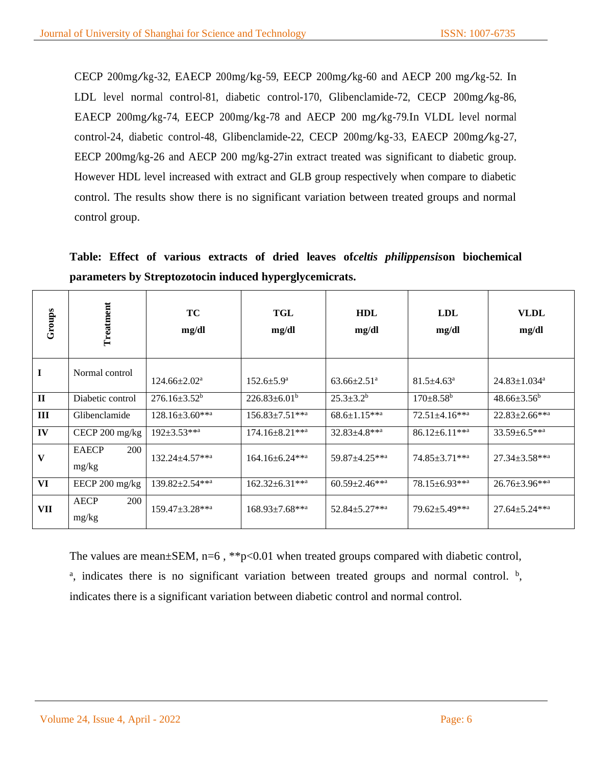CECP 200mg/kg-32, EAECP 200mg/kg-59, EECP 200mg/kg-60 and AECP <sup>200</sup> mg/kg-52. In LDL level normal control-81, diabetic control-170, Glibenclamide-72, CECP 200mg/kg-86, EAECP 200mg/kg-74, EECP 200mg/kg-78 and AECP <sup>200</sup> mg/kg-79.In VLDL level normal control-24, diabetic control-48, Glibenclamide-22, CECP 200mg/kg-33, EAECP 200mg/kg-27, EECP 200mg/kg-26 and AECP 200 mg/kg-27in extract treated was significant to diabetic group. However HDL level increased with extract and GLB group respectively when compare to diabetic control. The results show there is no significant variation between treated groups and normal control group.

**Table: Effect of various extracts of dried leaves of***celtis philippensis***on biochemical parameters by Streptozotocin induced hyperglycemicrats.**

| Groups       | Treatment                    | <b>TC</b><br>mg/dl    | TGL<br>mg/dl                      | <b>HDL</b><br>mg/dl             | <b>LDL</b><br>mg/dl              | <b>VLDL</b><br>mg/dl           |
|--------------|------------------------------|-----------------------|-----------------------------------|---------------------------------|----------------------------------|--------------------------------|
| $\bf I$      | Normal control               | $124.66 \pm 2.02^a$   | $152.6 \pm 5.9^{\mathrm{a}}$      | $63.66 \pm 2.51$ <sup>a</sup>   | $81.5 \pm 4.63$ <sup>a</sup>     | $24.83 \pm 1.034$ <sup>a</sup> |
| $\mathbf{I}$ | Diabetic control             | $276.16 \pm 3.52^b$   | $226.83\pm6.01^b$                 | $25.3 \pm 3.2^b$                | $170 \pm 8.58^{\rm b}$           | $48.66 \pm 3.56^b$             |
| III          | Glibenclamide                | $128.16 \pm 3.60$ **a | $156.83 \pm 7.51$ ***             | $68.6 \pm 1.15$ ***             | $72.51 \pm 4.16$ ***             | $22.83 \pm 2.66$ ***           |
| IV           | CECP 200 mg/kg               | $192 \pm 3.53$ ***    | $174.16 \pm 8.21$ ** <sup>a</sup> | $32.83 \pm 4.8$ ** <sup>a</sup> | $86.12 \pm 6.11$ ** <sup>a</sup> | $33.59 \pm 6.5$ ***            |
| V            | <b>EAECP</b><br>200<br>mg/kg | $132.24 \pm 4.57$ *** | $164.16 \pm 6.24$ **a             | 59.87±4.25**a                   | $74.85 \pm 3.71$ ***             | $27.34 \pm 3.58$ ***           |
| VI           | EECP 200 mg/kg               | $139.82 \pm 2.54$ *** | $162.32 \pm 6.31$ ***             | $60.59 \pm 2.46$ ***            | $78.15 \pm 6.93$ ***             | $26.76 \pm 3.96$ ***           |
| VII          | <b>AECP</b><br>200<br>mg/kg  | $159.47 \pm 3.28$ **a | $168.93 \pm 7.68$ ***             | 52.84±5.27**a                   | $79.62 \pm 5.49$ ***             | $27.64 \pm 5.24$ ***           |

The values are mean±SEM, n=6, \*\*p<0.01 when treated groups compared with diabetic control, a, indicates there is no significant variation between treated groups and normal control. b, indicates there is a significant variation between diabetic control and normal control.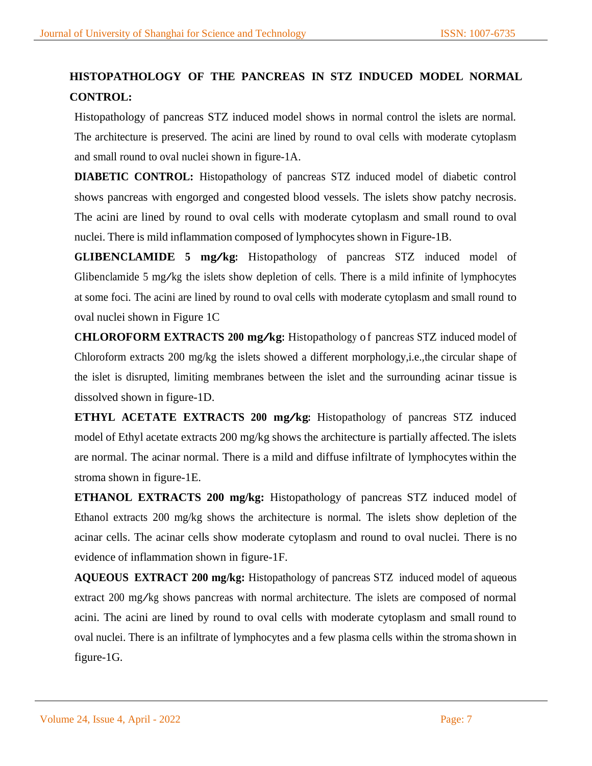# **HISTOPATHOLOGY OF THE PANCREAS IN STZ INDUCED MODEL NORMAL CONTROL:**

Histopathology of pancreas STZ induced model shows in normal control the islets are normal. The architecture is preserved. The acini are lined by round to oval cells with moderate cytoplasm and small round to oval nuclei shown in figure-1A.

**DIABETIC CONTROL:** Histopathology of pancreas STZ induced model of diabetic control shows pancreas with engorged and congested blood vessels. The islets show patchy necrosis. The acini are lined by round to oval cells with moderate cytoplasm and small round to oval nuclei. There is mild inflammation composed of lymphocytes shown in Figure-1B.

**GLIBENCLAMIDE <sup>5</sup> mg/kg:** Histopathology of pancreas STZ induced model of Glibenclamide <sup>5</sup> mg/kg the islets show depletion of cells. There is <sup>a</sup> mild infinite of lymphocytes at some foci. The acini are lined by round to oval cells with moderate cytoplasm and small round to oval nuclei shown in Figure 1C

**CHLOROFORM EXTRACTS <sup>200</sup> mg/kg:** Histopathology o f pancreas STZ induced model of Chloroform extracts 200 mg/kg the islets showed a different morphology,i.e.,the circular shape of the islet is disrupted, limiting membranes between the islet and the surrounding acinar tissue is dissolved shown in figure-1D.

**ETHYL ACETATE EXTRACTS <sup>200</sup> mg/kg:** Histopathology of pancreas STZ induced model of Ethyl acetate extracts 200 mg/kg shows the architecture is partially affected.The islets are normal. The acinar normal. There is a mild and diffuse infiltrate of lymphocytes within the stroma shown in figure-1E.

**ETHANOL EXTRACTS 200 mg/kg:** Histopathology of pancreas STZ induced model of Ethanol extracts 200 mg/kg shows the architecture is normal. The islets show depletion of the acinar cells. The acinar cells show moderate cytoplasm and round to oval nuclei. There is no evidence of inflammation shown in figure-1F.

**AQUEOUS EXTRACT 200 mg/kg:** Histopathology of pancreas STZ induced model of aqueous extract <sup>200</sup> mg/kg shows pancreas with normal architecture. The islets are composed of normal acini. The acini are lined by round to oval cells with moderate cytoplasm and small round to oval nuclei. There is an infiltrate of lymphocytes and a few plasma cells within the stroma shown in figure-1G.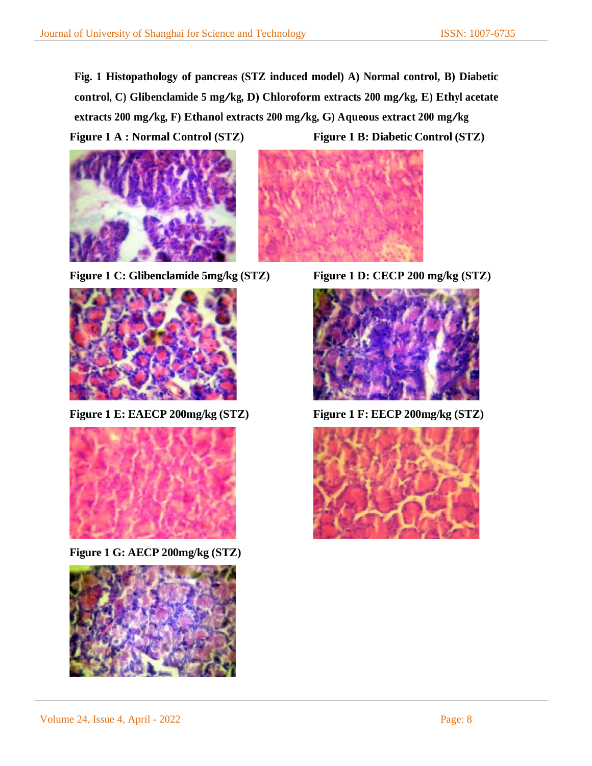**Fig. 1 Histopathology of pancreas (STZ induced model) A) Normal control, B) Diabetic control, C) Glibenclamide <sup>5</sup> mg/kg, D) Chloroform extracts <sup>200</sup> mg/kg, E) Ethyl acetate extracts <sup>200</sup> mg/kg, F) Ethanol extracts <sup>200</sup> mg/kg, G) Aqueous extract <sup>200</sup> mg/kg Figure 1 A : Normal Control (STZ) Figure 1 B: Diabetic Control (STZ)**



**Figure 1 C: Glibenclamide 5mg/kg (STZ) Figure 1 D: CECP 200 mg/kg (STZ)**



**Figure 1 E: EAECP 200mg/kg (STZ) Figure 1 F: EECP 200mg/kg (STZ)**



**Figure 1 G: AECP 200mg/kg (STZ)**





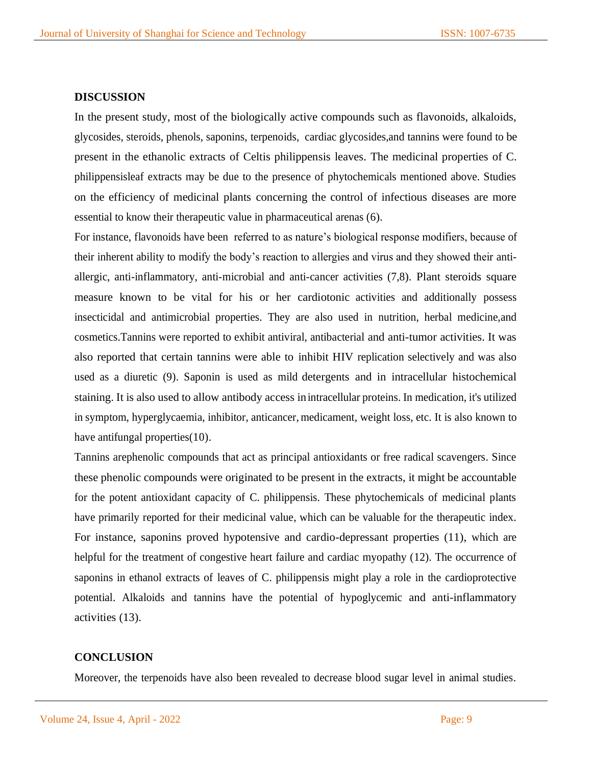#### **DISCUSSION**

In the present study, most of the biologically active compounds such as flavonoids, alkaloids, glycosides, steroids, phenols, saponins, terpenoids, cardiac glycosides,and tannins were found to be present in the ethanolic extracts of Celtis philippensis leaves. The medicinal properties of C. philippensisleaf extracts may be due to the presence of phytochemicals mentioned above. Studies on the efficiency of medicinal plants concerning the control of infectious diseases are more essential to know their therapeutic value in pharmaceutical arenas (6).

For instance, flavonoids have been referred to as nature's biological response modifiers, because of their inherent ability to modify the body's reaction to allergies and virus and they showed their antiallergic, anti-inflammatory, anti-microbial and anti-cancer activities (7,8). Plant steroids square measure known to be vital for his or her cardiotonic activities and additionally possess insecticidal and antimicrobial properties. They are also used in nutrition, herbal medicine,and cosmetics.Tannins were reported to exhibit antiviral, antibacterial and anti-tumor activities. It was also reported that certain tannins were able to inhibit HIV replication selectively and was also used as a diuretic (9). Saponin is used as mild detergents and in intracellular histochemical staining. It is also used to allow antibody access inintracellular proteins. In medication, it's utilized in symptom, hyperglycaemia, inhibitor, anticancer, medicament, weight loss, etc. It is also known to have antifungal properties (10).

Tannins arephenolic compounds that act as principal antioxidants or free radical scavengers. Since these phenolic compounds were originated to be present in the extracts, it might be accountable for the potent antioxidant capacity of C. philippensis. These phytochemicals of medicinal plants have primarily reported for their medicinal value, which can be valuable for the therapeutic index. For instance, saponins proved hypotensive and cardio-depressant properties (11), which are helpful for the treatment of congestive heart failure and cardiac myopathy (12). The occurrence of saponins in ethanol extracts of leaves of C. philippensis might play a role in the cardioprotective potential. Alkaloids and tannins have the potential of hypoglycemic and anti-inflammatory activities (13).

#### **CONCLUSION**

Moreover, the terpenoids have also been revealed to decrease blood sugar level in animal studies.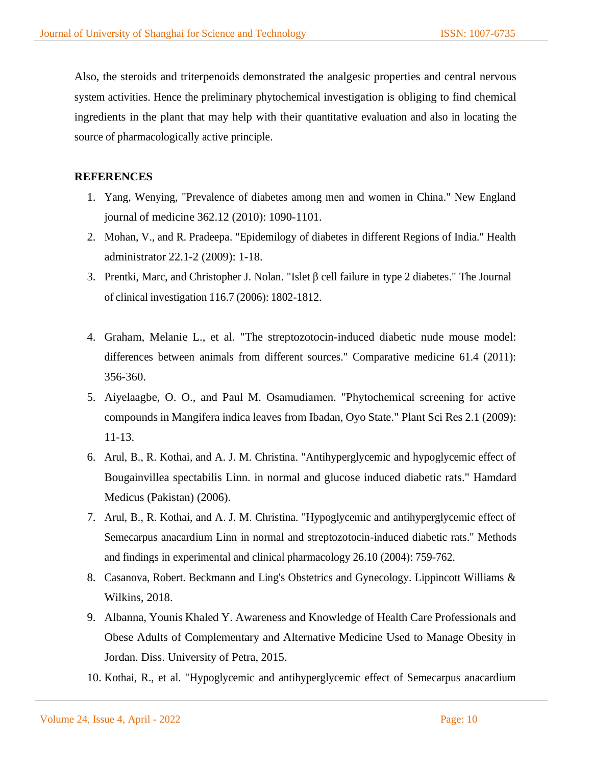Also, the steroids and triterpenoids demonstrated the analgesic properties and central nervous system activities. Hence the preliminary phytochemical investigation is obliging to find chemical ingredients in the plant that may help with their quantitative evaluation and also in locating the source of pharmacologically active principle.

## **REFERENCES**

- 1. Yang, Wenying, "Prevalence of diabetes among men and women in China." New England journal of medicine 362.12 (2010): 1090-1101.
- 2. Mohan, V., and R. Pradeepa. "Epidemilogy of diabetes in different Regions of India." Health administrator 22.1-2 (2009): 1-18.
- 3. Prentki, Marc, and Christopher J. Nolan. "Islet β cell failure in type 2 diabetes." The Journal of clinical investigation 116.7 (2006): 1802-1812.
- 4. Graham, Melanie L., et al. "The streptozotocin-induced diabetic nude mouse model: differences between animals from different sources." Comparative medicine 61.4 (2011): 356-360.
- 5. Aiyelaagbe, O. O., and Paul M. Osamudiamen. "Phytochemical screening for active compounds in Mangifera indica leaves from Ibadan, Oyo State." Plant Sci Res 2.1 (2009): 11-13.
- 6. Arul, B., R. Kothai, and A. J. M. Christina. "Antihyperglycemic and hypoglycemic effect of Bougainvillea spectabilis Linn. in normal and glucose induced diabetic rats." Hamdard Medicus (Pakistan) (2006).
- 7. Arul, B., R. Kothai, and A. J. M. Christina. "Hypoglycemic and antihyperglycemic effect of Semecarpus anacardium Linn in normal and streptozotocin-induced diabetic rats." Methods and findings in experimental and clinical pharmacology 26.10 (2004): 759-762.
- 8. Casanova, Robert. Beckmann and Ling's Obstetrics and Gynecology. Lippincott Williams & Wilkins, 2018.
- 9. Albanna, Younis Khaled Y. Awareness and Knowledge of Health Care Professionals and Obese Adults of Complementary and Alternative Medicine Used to Manage Obesity in Jordan. Diss. University of Petra, 2015.
- 10. Kothai, R., et al. "Hypoglycemic and antihyperglycemic effect of Semecarpus anacardium